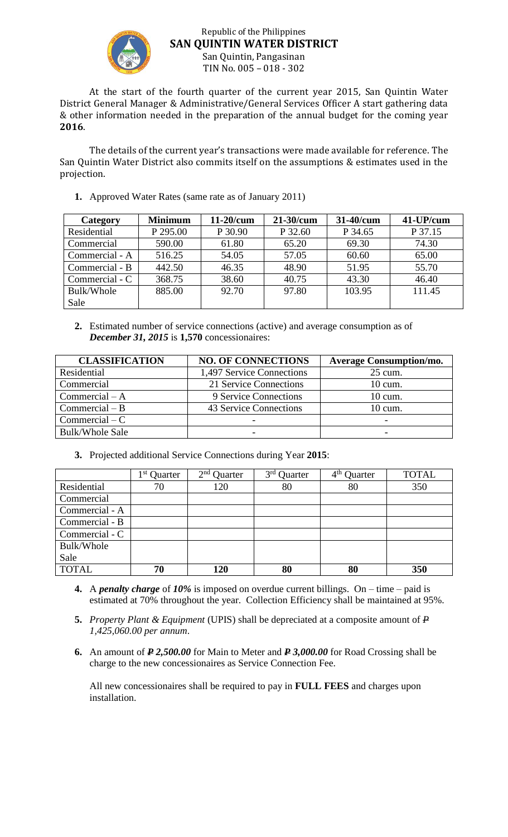

## Republic of the Philippines **SAN QUINTIN WATER DISTRICT** San Quintin, Pangasinan TIN No. 005 – 018 - 302

At the start of the fourth quarter of the current year 2015, San Quintin Water District General Manager & Administrative/General Services Officer A start gathering data & other information needed in the preparation of the annual budget for the coming year **2016**.

The details of the current year's transactions were made available for reference. The San Quintin Water District also commits itself on the assumptions & estimates used in the projection.

**1.** Approved Water Rates (same rate as of January 2011)

| Category       | <b>Minimum</b> | $11-20/cum$ | 21-30/cum | 31-40/cum | 41-UP/cum |
|----------------|----------------|-------------|-----------|-----------|-----------|
| Residential    | P 295.00       | P 30.90     | P 32.60   | P 34.65   | P 37.15   |
| Commercial     | 590.00         | 61.80       | 65.20     | 69.30     | 74.30     |
| Commercial - A | 516.25         | 54.05       | 57.05     | 60.60     | 65.00     |
| Commercial - B | 442.50         | 46.35       | 48.90     | 51.95     | 55.70     |
| Commercial - C | 368.75         | 38.60       | 40.75     | 43.30     | 46.40     |
| Bulk/Whole     | 885.00         | 92.70       | 97.80     | 103.95    | 111.45    |
| Sale           |                |             |           |           |           |

**2.** Estimated number of service connections (active) and average consumption as of *December 31, 2015* is **1,570** concessionaires:

| <b>CLASSIFICATION</b>  | <b>NO. OF CONNECTIONS</b> | <b>Average Consumption/mo.</b> |
|------------------------|---------------------------|--------------------------------|
| Residential            | 1,497 Service Connections | $25$ cum.                      |
| Commercial             | 21 Service Connections    | $10 \text{ cum.}$              |
| $Commercial - A$       | 9 Service Connections     | $10 \text{ cum.}$              |
| $Commercial - B$       | 43 Service Connections    | 10 cum.                        |
| $Commercial - C$       |                           |                                |
| <b>Bulk/Whole Sale</b> | $\overline{\phantom{0}}$  | -                              |

**3.** Projected additional Service Connections during Year **2015**:

|                | $\sim$ 1 st<br>Quarter | 2 <sup>nd</sup><br>Quarter | 3 <sup>rd</sup><br>Quarter | 4 <sup>th</sup><br><b>Quarter</b> | <b>TOTAL</b> |
|----------------|------------------------|----------------------------|----------------------------|-----------------------------------|--------------|
| Residential    | 70                     | 120                        | 80                         | 80                                | 350          |
| Commercial     |                        |                            |                            |                                   |              |
| Commercial - A |                        |                            |                            |                                   |              |
| Commercial - B |                        |                            |                            |                                   |              |
| Commercial - C |                        |                            |                            |                                   |              |
| Bulk/Whole     |                        |                            |                            |                                   |              |
| Sale           |                        |                            |                            |                                   |              |
| <b>TOTAL</b>   | 70                     | 120                        | 80                         | 80                                | 350          |

- **4.** A *penalty charge* of *10%* is imposed on overdue current billings. On time paid is estimated at 70% throughout the year. Collection Efficiency shall be maintained at 95%.
- **5.** *Property Plant & Equipment* (UPIS) shall be depreciated at a composite amount of *P 1,425,060.00 per annum*.
- **6.** An amount of *P 2,500.00* for Main to Meter and *P 3,000.00* for Road Crossing shall be charge to the new concessionaires as Service Connection Fee.

All new concessionaires shall be required to pay in **FULL FEES** and charges upon installation.